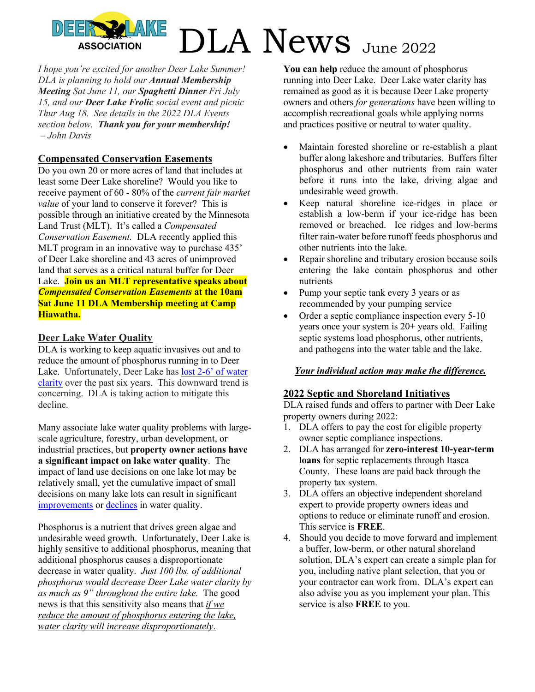*I hope you're excited for another Deer Lake Summer! DLA is planning to hold our Annual Membership Meeting Sat June 11, our Spaghetti Dinner Fri July 15, and our Deer Lake Frolic social event and picnic Thur Aug 18. See details in the 2022 DLA Events section below. Thank you for your membership! – John Davis* 

#### **Compensated Conservation Easements**

Do you own 20 or more acres of land that includes at least some Deer Lake shoreline? Would you like to receive payment of 60 - 80% of the *current fair market value* of your land to conserve it forever? This is possible through an initiative created by the Minnesota Land Trust (MLT). It's called a *Compensated Conservation Easement.* DLA recently applied this MLT program in an innovative way to purchase 435' of Deer Lake shoreline and 43 acres of unimproved land that serves as a critical natural buffer for Deer Lake. **Join us an MLT representative speaks about**  *Compensated Conservation Easements* **at the 10am Sat June 11 DLA Membership meeting at Camp Hiawatha.**

#### **Deer Lake Water Quality**

DLA is working to keep aquatic invasives out and to reduce the amount of phosphorus running in to Deer Lake. Unfortunately, Deer Lake has lost 2-6' of water clarity over the past six years. This downward trend is concerning. DLA is taking action to mitigate this decline.

Many associate lake water quality problems with largescale agriculture, forestry, urban development, or industrial practices, but **property owner actions have a significant impact on lake water quality**. The impact of land use decisions on one lake lot may be relatively small, yet the cumulative impact of small decisions on many lake lots can result in significant improvements or declines in water quality.

Phosphorus is a nutrient that drives green algae and undesirable weed growth. Unfortunately, Deer Lake is highly sensitive to additional phosphorus, meaning that additional phosphorus causes a disproportionate decrease in water quality. *Just 100 lbs. of additional phosphorus would decrease Deer Lake water clarity by as much as 9" throughout the entire lake.* The good news is that this sensitivity also means that *if we reduce the amount of phosphorus entering the lake, water clarity will increase disproportionately*.

**You can help** reduce the amount of phosphorus running into Deer Lake. Deer Lake water clarity has remained as good as it is because Deer Lake property owners and others *for generations* have been willing to accomplish recreational goals while applying norms and practices positive or neutral to water quality.

- Maintain forested shoreline or re-establish a plant buffer along lakeshore and tributaries. Buffers filter phosphorus and other nutrients from rain water before it runs into the lake, driving algae and undesirable weed growth.
- Keep natural shoreline ice-ridges in place or establish a low-berm if your ice-ridge has been removed or breached. Ice ridges and low-berms filter rain-water before runoff feeds phosphorus and other nutrients into the lake.
- Repair shoreline and tributary erosion because soils entering the lake contain phosphorus and other nutrients
- Pump your septic tank every 3 years or as recommended by your pumping service
- Order a septic compliance inspection every 5-10 years once your system is 20+ years old. Failing septic systems load phosphorus, other nutrients, and pathogens into the water table and the lake.

#### *Your individual action may make the difference.*

#### **2022 Septic and Shoreland Initiatives**

DLA raised funds and offers to partner with Deer Lake property owners during 2022:

- 1. DLA offers to pay the cost for eligible property owner septic compliance inspections.
- 2. DLA has arranged for **zero-interest 10-year-term loans** for septic replacements through Itasca County. These loans are paid back through the property tax system.
- 3. DLA offers an objective independent shoreland expert to provide property owners ideas and options to reduce or eliminate runoff and erosion. This service is **FREE**.
- 4. Should you decide to move forward and implement a buffer, low-berm, or other natural shoreland solution, DLA's expert can create a simple plan for you, including native plant selection, that you or your contractor can work from. DLA's expert can also advise you as you implement your plan. This service is also **FREE** to you.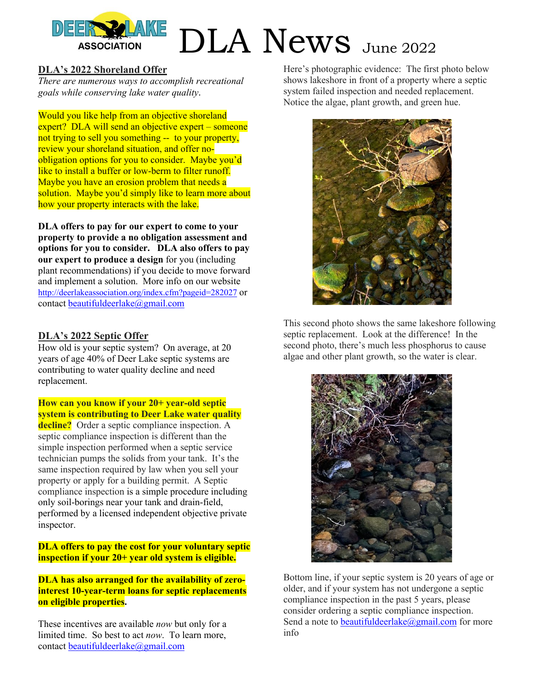

#### **DLA's 2022 Shoreland Offer**

*There are numerous ways to accomplish recreational goals while conserving lake water quality*.

Would you like help from an objective shoreland expert? DLA will send an objective expert – someone not trying to sell you something -- to your property, review your shoreland situation, and offer noobligation options for you to consider. Maybe you'd like to install a buffer or low-berm to filter runoff. Maybe you have an erosion problem that needs a solution. Maybe you'd simply like to learn more about how your property interacts with the lake.

**DLA offers to pay for our expert to come to your property to provide a no obligation assessment and options for you to consider. DLA also offers to pay our expert to produce a design** for you (including plant recommendations) if you decide to move forward and implement a solution. More info on our website http://deerlakeassociation.org/index.cfm?pageid=282027 or contact beautifuldeerlake@gmail.com

#### **DLA's 2022 Septic Offer**

How old is your septic system? On average, at 20 years of age 40% of Deer Lake septic systems are contributing to water quality decline and need replacement.

**How can you know if your 20+ year-old septic system is contributing to Deer Lake water quality** 

**decline?** Order a septic compliance inspection. A septic compliance inspection is different than the simple inspection performed when a septic service technician pumps the solids from your tank. It's the same inspection required by law when you sell your property or apply for a building permit. A Septic compliance inspection is a simple procedure including only soil-borings near your tank and drain-field, performed by a licensed independent objective private inspector.

#### **DLA offers to pay the cost for your voluntary septic inspection if your 20+ year old system is eligible.**

**DLA has also arranged for the availability of zerointerest 10-year-term loans for septic replacements on eligible properties.**

These incentives are available *now* but only for a limited time. So best to act *now*. To learn more, contact beautifuldeerlake@gmail.com

Here's photographic evidence: The first photo below shows lakeshore in front of a property where a septic system failed inspection and needed replacement. Notice the algae, plant growth, and green hue.



This second photo shows the same lakeshore following septic replacement. Look at the difference! In the second photo, there's much less phosphorus to cause algae and other plant growth, so the water is clear.



Bottom line, if your septic system is 20 years of age or older, and if your system has not undergone a septic compliance inspection in the past 5 years, please consider ordering a septic compliance inspection. Send a note to beautifuldeerlake@gmail.com for more info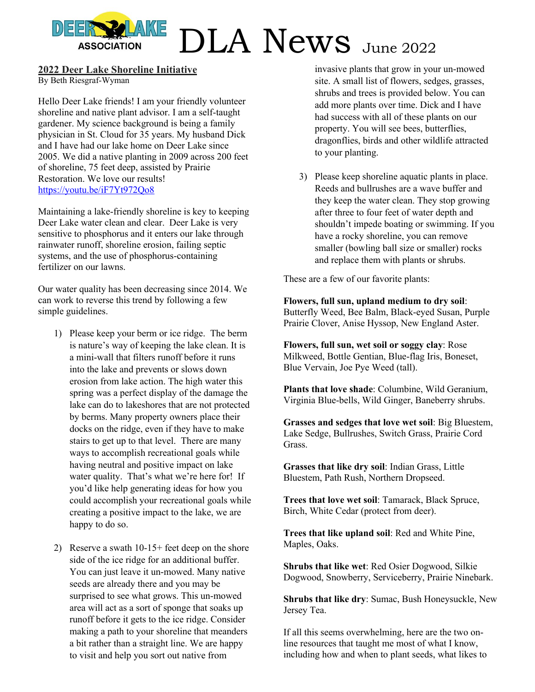#### **2022 Deer Lake Shoreline Initiative**

By Beth Riesgraf-Wyman

Hello Deer Lake friends! I am your friendly volunteer shoreline and native plant advisor. I am a self-taught gardener. My science background is being a family physician in St. Cloud for 35 years. My husband Dick and I have had our lake home on Deer Lake since 2005. We did a native planting in 2009 across 200 feet of shoreline, 75 feet deep, assisted by Prairie Restoration. We love our results! https://youtu.be/iF7Yt972Qo8

Maintaining a lake-friendly shoreline is key to keeping Deer Lake water clean and clear. Deer Lake is very sensitive to phosphorus and it enters our lake through rainwater runoff, shoreline erosion, failing septic systems, and the use of phosphorus-containing fertilizer on our lawns.

Our water quality has been decreasing since 2014. We can work to reverse this trend by following a few simple guidelines.

- 1) Please keep your berm or ice ridge. The berm is nature's way of keeping the lake clean. It is a mini-wall that filters runoff before it runs into the lake and prevents or slows down erosion from lake action. The high water this spring was a perfect display of the damage the lake can do to lakeshores that are not protected by berms. Many property owners place their docks on the ridge, even if they have to make stairs to get up to that level. There are many ways to accomplish recreational goals while having neutral and positive impact on lake water quality. That's what we're here for! If you'd like help generating ideas for how you could accomplish your recreational goals while creating a positive impact to the lake, we are happy to do so.
- 2) Reserve a swath 10-15+ feet deep on the shore side of the ice ridge for an additional buffer. You can just leave it un-mowed. Many native seeds are already there and you may be surprised to see what grows. This un-mowed area will act as a sort of sponge that soaks up runoff before it gets to the ice ridge. Consider making a path to your shoreline that meanders a bit rather than a straight line. We are happy to visit and help you sort out native from

invasive plants that grow in your un-mowed site. A small list of flowers, sedges, grasses, shrubs and trees is provided below. You can add more plants over time. Dick and I have had success with all of these plants on our property. You will see bees, butterflies, dragonflies, birds and other wildlife attracted to your planting.

3) Please keep shoreline aquatic plants in place. Reeds and bullrushes are a wave buffer and they keep the water clean. They stop growing after three to four feet of water depth and shouldn't impede boating or swimming. If you have a rocky shoreline, you can remove smaller (bowling ball size or smaller) rocks and replace them with plants or shrubs.

These are a few of our favorite plants:

**Flowers, full sun, upland medium to dry soil**: Butterfly Weed, Bee Balm, Black-eyed Susan, Purple Prairie Clover, Anise Hyssop, New England Aster.

**Flowers, full sun, wet soil or soggy clay**: Rose Milkweed, Bottle Gentian, Blue-flag Iris, Boneset, Blue Vervain, Joe Pye Weed (tall).

**Plants that love shade**: Columbine, Wild Geranium, Virginia Blue-bells, Wild Ginger, Baneberry shrubs.

**Grasses and sedges that love wet soil**: Big Bluestem, Lake Sedge, Bullrushes, Switch Grass, Prairie Cord Grass.

**Grasses that like dry soil**: Indian Grass, Little Bluestem, Path Rush, Northern Dropseed.

**Trees that love wet soil**: Tamarack, Black Spruce, Birch, White Cedar (protect from deer).

**Trees that like upland soil**: Red and White Pine, Maples, Oaks.

**Shrubs that like wet**: Red Osier Dogwood, Silkie Dogwood, Snowberry, Serviceberry, Prairie Ninebark.

**Shrubs that like dry**: Sumac, Bush Honeysuckle, New Jersey Tea.

If all this seems overwhelming, here are the two online resources that taught me most of what I know, including how and when to plant seeds, what likes to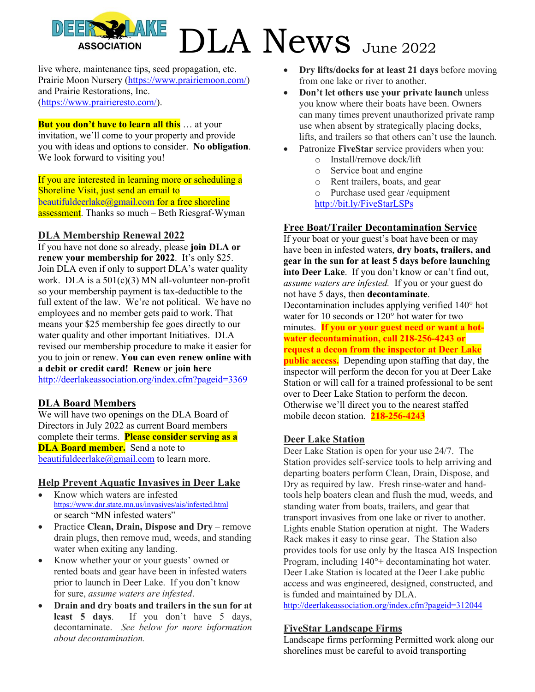live where, maintenance tips, seed propagation, etc. Prairie Moon Nursery (https://www.prairiemoon.com/) and Prairie Restorations, Inc. (https://www.prairieresto.com/).

**But you don't have to learn all this** ... at your invitation, we'll come to your property and provide you with ideas and options to consider. **No obligation**. We look forward to visiting you!

If you are interested in learning more or scheduling a Shoreline Visit, just send an email to beautifuldeerlake@gmail.com for a free shoreline assessment. Thanks so much – Beth Riesgraf-Wyman

#### **DLA Membership Renewal 2022**

If you have not done so already, please **join DLA or renew your membership for 2022**. It's only \$25. Join DLA even if only to support DLA's water quality work. DLA is a  $501(c)(3)$  MN all-volunteer non-profit so your membership payment is tax-deductible to the full extent of the law. We're not political. We have no employees and no member gets paid to work. That means your \$25 membership fee goes directly to our water quality and other important Initiatives. DLA revised our membership procedure to make it easier for you to join or renew. **You can even renew online with a debit or credit card! Renew or join here**  http://deerlakeassociation.org/index.cfm?pageid=3369

#### **DLA Board Members**

We will have two openings on the DLA Board of Directors in July 2022 as current Board members complete their terms. **Please consider serving as a DLA Board member.** Send a note to beautifuldeerlake@gmail.com to learn more.

#### **Help Prevent Aquatic Invasives in Deer Lake**

- Know which waters are infested https://www.dnr.state.mn.us/invasives/ais/infested.html or search "MN infested waters"
- Practice **Clean, Drain, Dispose and Dry** remove drain plugs, then remove mud, weeds, and standing water when exiting any landing.
- Know whether your or your guests' owned or rented boats and gear have been in infested waters prior to launch in Deer Lake. If you don't know for sure, *assume waters are infested*.
- **Drain and dry boats and trailers in the sun for at least 5 days**. If you don't have 5 days, decontaminate. *See below for more information about decontamination.*
- **Dry lifts/docks for at least 21 days** before moving from one lake or river to another.
- **Don't let others use your private launch** unless you know where their boats have been. Owners can many times prevent unauthorized private ramp use when absent by strategically placing docks, lifts, and trailers so that others can't use the launch.
- Patronize **FiveStar** service providers when you:
	- o Install/remove dock/lift
	- Service boat and engine
	- o Rent trailers, boats, and gear
	- o Purchase used gear /equipment
	- http://bit.ly/FiveStarLSPs

#### **Free Boat/Trailer Decontamination Service**

If your boat or your guest's boat have been or may have been in infested waters, **dry boats, trailers, and gear in the sun for at least 5 days before launching into Deer Lake**. If you don't know or can't find out, *assume waters are infested.* If you or your guest do not have 5 days, then **decontaminate**. Decontamination includes applying verified 140° hot water for 10 seconds or 120° hot water for two minutes. **If you or your guest need or want a hotwater decontamination, call 218-256-4243 or request a decon from the inspector at Deer Lake public access.** Depending upon staffing that day, the inspector will perform the decon for you at Deer Lake Station or will call for a trained professional to be sent over to Deer Lake Station to perform the decon. Otherwise we'll direct you to the nearest staffed mobile decon station. **218-256-4243**

#### **Deer Lake Station**

Deer Lake Station is open for your use 24/7. The Station provides self-service tools to help arriving and departing boaters perform Clean, Drain, Dispose, and Dry as required by law. Fresh rinse-water and handtools help boaters clean and flush the mud, weeds, and standing water from boats, trailers, and gear that transport invasives from one lake or river to another. Lights enable Station operation at night. The Waders Rack makes it easy to rinse gear. The Station also provides tools for use only by the Itasca AIS Inspection Program, including 140°+ decontaminating hot water. Deer Lake Station is located at the Deer Lake public access and was engineered, designed, constructed, and is funded and maintained by DLA.

http://deerlakeassociation.org/index.cfm?pageid=312044

#### **FiveStar Landscape Firms**

Landscape firms performing Permitted work along our shorelines must be careful to avoid transporting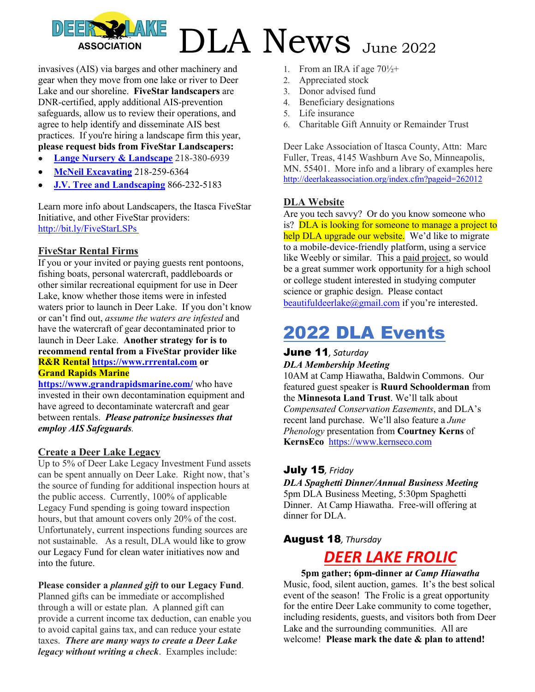invasives (AIS) via barges and other machinery and gear when they move from one lake or river to Deer Lake and our shoreline. **FiveStar landscapers** are DNR-certified, apply additional AIS-prevention safeguards, allow us to review their operations, and agree to help identify and disseminate AIS best practices. If you're hiring a landscape firm this year, **please request bids from FiveStar Landscapers:**

- **Lange Nursery & Landscape** 218-380-6939
- **McNeil Excavating** 218-259-6364
- **J.V. Tree and Landscaping** 866-232-5183

Learn more info about Landscapers, the Itasca FiveStar Initiative, and other FiveStar providers: http://bit.ly/FiveStarLSPs

#### **FiveStar Rental Firms**

If you or your invited or paying guests rent pontoons, fishing boats, personal watercraft, paddleboards or other similar recreational equipment for use in Deer Lake, know whether those items were in infested waters prior to launch in Deer Lake. If you don't know or can't find out, *assume the waters are infested* and have the watercraft of gear decontaminated prior to launch in Deer Lake. **Another strategy for is to recommend rental from a FiveStar provider like R&R Rental https://www.rrrental.com or Grand Rapids Marine**

**https://www.grandrapidsmarine.com/** who have invested in their own decontamination equipment and have agreed to decontaminate watercraft and gear between rentals. *Please patronize businesses that employ AIS Safeguards.* 

#### **Create a Deer Lake Legacy**

Up to 5% of Deer Lake Legacy Investment Fund assets can be spent annually on Deer Lake. Right now, that's the source of funding for additional inspection hours at the public access. Currently, 100% of applicable Legacy Fund spending is going toward inspection hours, but that amount covers only 20% of the cost. Unfortunately, current inspections funding sources are not sustainable. As a result, DLA would like to grow our Legacy Fund for clean water initiatives now and into the future.

#### **Please consider a** *planned gift* **to our Legacy Fund**.

Planned gifts can be immediate or accomplished through a will or estate plan. A planned gift can provide a current income tax deduction, can enable you to avoid capital gains tax, and can reduce your estate taxes. *There are many ways to create a Deer Lake legacy without writing a check*. Examples include:

- 1. From an IRA if age  $70\frac{1}{2}$ +
- 2. Appreciated stock
- 3. Donor advised fund
- 4. Beneficiary designations
- 5. Life insurance
- 6. Charitable Gift Annuity or Remainder Trust

Deer Lake Association of Itasca County, Attn: Marc Fuller, Treas, 4145 Washburn Ave So, Minneapolis, MN. 55401. More info and a library of examples here http://deerlakeassociation.org/index.cfm?pageid=262012

#### **DLA Website**

Are you tech savvy? Or do you know someone who is? DLA is looking for someone to manage a project to help DLA upgrade our website. We'd like to migrate to a mobile-device-friendly platform, using a service like Weebly or similar. This a paid project, so would be a great summer work opportunity for a high school or college student interested in studying computer science or graphic design. Please contact beautifuldeerlake@gmail.com if you're interested.

### 2022 DLA Events

#### June 11*, Saturday*

#### *DLA Membership Meeting*

10AM at Camp Hiawatha, Baldwin Commons. Our featured guest speaker is **Ruurd Schoolderman** from the **Minnesota Land Trust**. We'll talk about *Compensated Conservation Easements*, and DLA's recent land purchase. We'll also feature a *June Phenology* presentation from **Courtney Kerns** of **KernsEco** https://www.kernseco.com

#### July 15*, Friday*

*DLA Spaghetti Dinner/Annual Business Meeting*  5pm DLA Business Meeting, 5:30pm Spaghetti Dinner. At Camp Hiawatha. Free-will offering at dinner for DLA.

#### August 18*, Thursday*

### *DEER LAKE FROLIC*

**5pm gather; 6pm-dinner a***t Camp Hiawatha* Music, food, silent auction, games. It's the best solical event of the season! The Frolic is a great opportunity for the entire Deer Lake community to come together, including residents, guests, and visitors both from Deer Lake and the surrounding communities. All are welcome! **Please mark the date & plan to attend!**